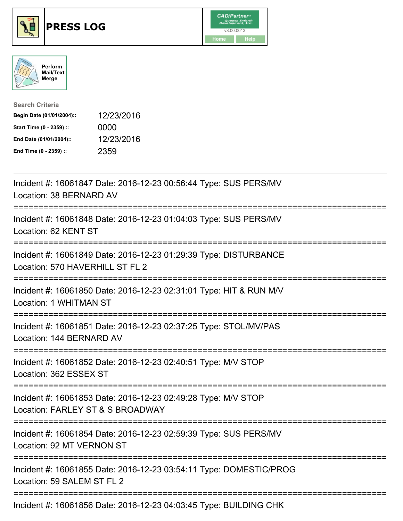





| <b>Search Criteria</b>    |            |
|---------------------------|------------|
| Begin Date (01/01/2004):: | 12/23/2016 |
| Start Time (0 - 2359) ::  | 0000       |
| End Date (01/01/2004)::   | 12/23/2016 |
| End Time (0 - 2359) ::    | 2359       |

| Incident #: 16061847 Date: 2016-12-23 00:56:44 Type: SUS PERS/MV<br>Location: 38 BERNARD AV                                                 |
|---------------------------------------------------------------------------------------------------------------------------------------------|
| Incident #: 16061848 Date: 2016-12-23 01:04:03 Type: SUS PERS/MV<br>Location: 62 KENT ST<br>--------------                                  |
| Incident #: 16061849 Date: 2016-12-23 01:29:39 Type: DISTURBANCE<br>Location: 570 HAVERHILL ST FL 2<br>:============<br>------------------  |
| Incident #: 16061850 Date: 2016-12-23 02:31:01 Type: HIT & RUN M/V<br><b>Location: 1 WHITMAN ST</b><br>.----------------------------------- |
| Incident #: 16061851 Date: 2016-12-23 02:37:25 Type: STOL/MV/PAS<br>Location: 144 BERNARD AV                                                |
| Incident #: 16061852 Date: 2016-12-23 02:40:51 Type: M/V STOP<br>Location: 362 ESSEX ST<br>===================================              |
| Incident #: 16061853 Date: 2016-12-23 02:49:28 Type: M/V STOP<br>Location: FARLEY ST & S BROADWAY                                           |
| Incident #: 16061854 Date: 2016-12-23 02:59:39 Type: SUS PERS/MV<br>Location: 92 MT VERNON ST                                               |
| Incident #: 16061855 Date: 2016-12-23 03:54:11 Type: DOMESTIC/PROG<br>Location: 59 SALEM ST FL 2                                            |
| Incident #: 16061856 Date: 2016-12-23 04:03:45 Type: BUILDING CHK                                                                           |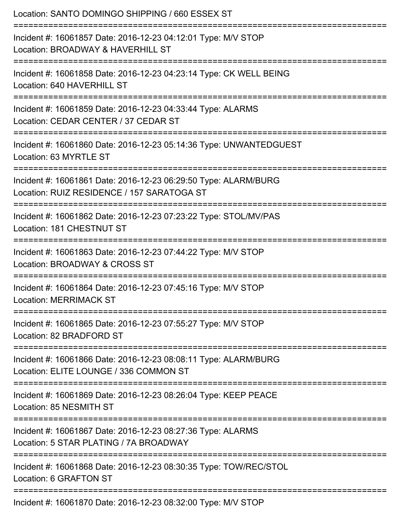| Location: SANTO DOMINGO SHIPPING / 660 ESSEX ST                                                                                               |
|-----------------------------------------------------------------------------------------------------------------------------------------------|
| Incident #: 16061857 Date: 2016-12-23 04:12:01 Type: M/V STOP<br>Location: BROADWAY & HAVERHILL ST<br>.===================                    |
| Incident #: 16061858 Date: 2016-12-23 04:23:14 Type: CK WELL BEING<br>Location: 640 HAVERHILL ST                                              |
| Incident #: 16061859 Date: 2016-12-23 04:33:44 Type: ALARMS<br>Location: CEDAR CENTER / 37 CEDAR ST                                           |
| Incident #: 16061860 Date: 2016-12-23 05:14:36 Type: UNWANTEDGUEST<br>Location: 63 MYRTLE ST                                                  |
| Incident #: 16061861 Date: 2016-12-23 06:29:50 Type: ALARM/BURG<br>Location: RUIZ RESIDENCE / 157 SARATOGA ST<br>---------------------------- |
| Incident #: 16061862 Date: 2016-12-23 07:23:22 Type: STOL/MV/PAS<br>Location: 181 CHESTNUT ST                                                 |
| Incident #: 16061863 Date: 2016-12-23 07:44:22 Type: M/V STOP<br>Location: BROADWAY & CROSS ST                                                |
| Incident #: 16061864 Date: 2016-12-23 07:45:16 Type: M/V STOP<br><b>Location: MERRIMACK ST</b>                                                |
| Incident #: 16061865 Date: 2016-12-23 07:55:27 Type: M/V STOP<br>Location: 82 BRADFORD ST                                                     |
| Incident #: 16061866 Date: 2016-12-23 08:08:11 Type: ALARM/BURG<br>Location: ELITE LOUNGE / 336 COMMON ST                                     |
| Incident #: 16061869 Date: 2016-12-23 08:26:04 Type: KEEP PEACE<br>Location: 85 NESMITH ST                                                    |
| Incident #: 16061867 Date: 2016-12-23 08:27:36 Type: ALARMS<br>Location: 5 STAR PLATING / 7A BROADWAY                                         |
| Incident #: 16061868 Date: 2016-12-23 08:30:35 Type: TOW/REC/STOL<br>Location: 6 GRAFTON ST                                                   |
| Incident #: 16061870 Date: 2016-12-23 08:32:00 Type: M/V STOP                                                                                 |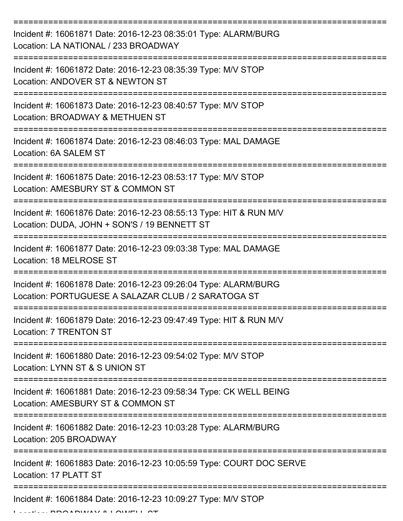| Incident #: 16061871 Date: 2016-12-23 08:35:01 Type: ALARM/BURG<br>Location: LA NATIONAL / 233 BROADWAY                |
|------------------------------------------------------------------------------------------------------------------------|
| Incident #: 16061872 Date: 2016-12-23 08:35:39 Type: M/V STOP<br>Location: ANDOVER ST & NEWTON ST                      |
| Incident #: 16061873 Date: 2016-12-23 08:40:57 Type: M/V STOP<br>Location: BROADWAY & METHUEN ST                       |
| Incident #: 16061874 Date: 2016-12-23 08:46:03 Type: MAL DAMAGE<br>Location: 6A SALEM ST                               |
| Incident #: 16061875 Date: 2016-12-23 08:53:17 Type: M/V STOP<br>Location: AMESBURY ST & COMMON ST                     |
| Incident #: 16061876 Date: 2016-12-23 08:55:13 Type: HIT & RUN M/V<br>Location: DUDA, JOHN + SON'S / 19 BENNETT ST     |
| Incident #: 16061877 Date: 2016-12-23 09:03:38 Type: MAL DAMAGE<br>Location: 18 MELROSE ST                             |
| Incident #: 16061878 Date: 2016-12-23 09:26:04 Type: ALARM/BURG<br>Location: PORTUGUESE A SALAZAR CLUB / 2 SARATOGA ST |
| Incident #: 16061879 Date: 2016-12-23 09:47:49 Type: HIT & RUN M/V<br>Location: 7 TRENTON ST                           |
| Incident #: 16061880 Date: 2016-12-23 09:54:02 Type: M/V STOP<br>Location: LYNN ST & S UNION ST                        |
| Incident #: 16061881 Date: 2016-12-23 09:58:34 Type: CK WELL BEING<br>Location: AMESBURY ST & COMMON ST                |
| Incident #: 16061882 Date: 2016-12-23 10:03:28 Type: ALARM/BURG<br>Location: 205 BROADWAY                              |
| Incident #: 16061883 Date: 2016-12-23 10:05:59 Type: COURT DOC SERVE<br>Location: 17 PLATT ST                          |
| Incident #: 16061884 Date: 2016-12-23 10:09:27 Type: M/V STOP                                                          |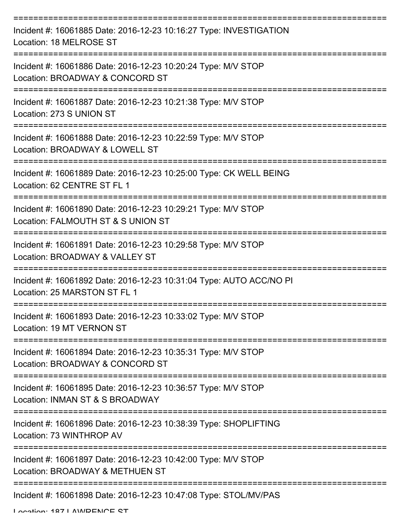| Incident #: 16061885 Date: 2016-12-23 10:16:27 Type: INVESTIGATION<br>Location: 18 MELROSE ST                                             |
|-------------------------------------------------------------------------------------------------------------------------------------------|
| Incident #: 16061886 Date: 2016-12-23 10:20:24 Type: M/V STOP<br>Location: BROADWAY & CONCORD ST                                          |
| Incident #: 16061887 Date: 2016-12-23 10:21:38 Type: M/V STOP<br>Location: 273 S UNION ST                                                 |
| Incident #: 16061888 Date: 2016-12-23 10:22:59 Type: M/V STOP<br>Location: BROADWAY & LOWELL ST                                           |
| Incident #: 16061889 Date: 2016-12-23 10:25:00 Type: CK WELL BEING<br>Location: 62 CENTRE ST FL 1                                         |
| ==================================<br>Incident #: 16061890 Date: 2016-12-23 10:29:21 Type: M/V STOP<br>Location: FALMOUTH ST & S UNION ST |
| Incident #: 16061891 Date: 2016-12-23 10:29:58 Type: M/V STOP<br>Location: BROADWAY & VALLEY ST                                           |
| Incident #: 16061892 Date: 2016-12-23 10:31:04 Type: AUTO ACC/NO PI<br>Location: 25 MARSTON ST FL 1                                       |
| Incident #: 16061893 Date: 2016-12-23 10:33:02 Type: M/V STOP<br>Location: 19 MT VERNON ST                                                |
| Incident #: 16061894 Date: 2016-12-23 10:35:31 Type: M/V STOP<br>Location: BROADWAY & CONCORD ST                                          |
| Incident #: 16061895 Date: 2016-12-23 10:36:57 Type: M/V STOP<br>Location: INMAN ST & S BROADWAY                                          |
| Incident #: 16061896 Date: 2016-12-23 10:38:39 Type: SHOPLIFTING<br>Location: 73 WINTHROP AV                                              |
| Incident #: 16061897 Date: 2016-12-23 10:42:00 Type: M/V STOP<br>Location: BROADWAY & METHUEN ST                                          |
| Incident #: 16061898 Date: 2016-12-23 10:47:08 Type: STOL/MV/PAS                                                                          |

Location: 197 LAMDENICE CT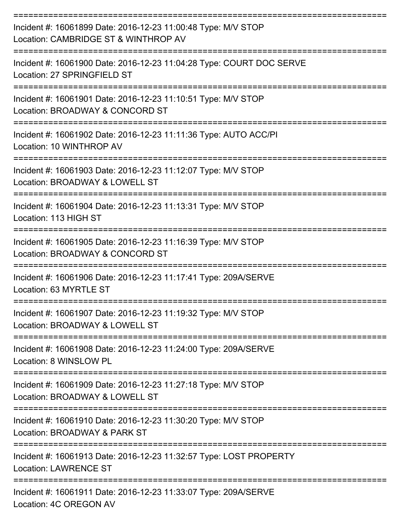| Incident #: 16061899 Date: 2016-12-23 11:00:48 Type: M/V STOP<br>Location: CAMBRIDGE ST & WINTHROP AV |
|-------------------------------------------------------------------------------------------------------|
| Incident #: 16061900 Date: 2016-12-23 11:04:28 Type: COURT DOC SERVE<br>Location: 27 SPRINGFIELD ST   |
| Incident #: 16061901 Date: 2016-12-23 11:10:51 Type: M/V STOP<br>Location: BROADWAY & CONCORD ST      |
| Incident #: 16061902 Date: 2016-12-23 11:11:36 Type: AUTO ACC/PI<br>Location: 10 WINTHROP AV          |
| Incident #: 16061903 Date: 2016-12-23 11:12:07 Type: M/V STOP<br>Location: BROADWAY & LOWELL ST       |
| Incident #: 16061904 Date: 2016-12-23 11:13:31 Type: M/V STOP<br>Location: 113 HIGH ST                |
| Incident #: 16061905 Date: 2016-12-23 11:16:39 Type: M/V STOP<br>Location: BROADWAY & CONCORD ST      |
| Incident #: 16061906 Date: 2016-12-23 11:17:41 Type: 209A/SERVE<br>Location: 63 MYRTLE ST             |
| Incident #: 16061907 Date: 2016-12-23 11:19:32 Type: M/V STOP<br>Location: BROADWAY & LOWELL ST       |
| Incident #: 16061908 Date: 2016-12-23 11:24:00 Type: 209A/SERVE<br>Location: 8 WINSLOW PL             |
| Incident #: 16061909 Date: 2016-12-23 11:27:18 Type: M/V STOP<br>Location: BROADWAY & LOWELL ST       |
| Incident #: 16061910 Date: 2016-12-23 11:30:20 Type: M/V STOP<br>Location: BROADWAY & PARK ST         |
| Incident #: 16061913 Date: 2016-12-23 11:32:57 Type: LOST PROPERTY<br><b>Location: LAWRENCE ST</b>    |
| Incident #: 16061911 Date: 2016-12-23 11:33:07 Type: 209A/SERVE<br>Location: 4C OREGON AV             |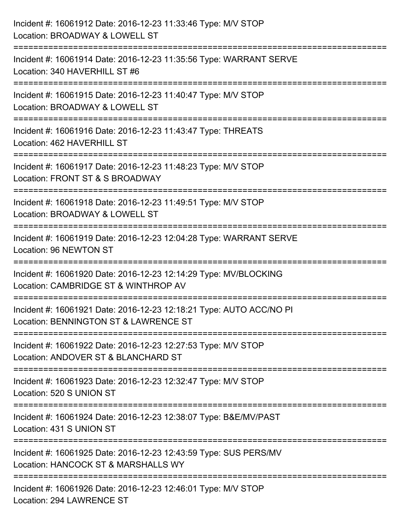| Incident #: 16061912 Date: 2016-12-23 11:33:46 Type: M/V STOP<br>Location: BROADWAY & LOWELL ST                                   |
|-----------------------------------------------------------------------------------------------------------------------------------|
| :=========================<br>Incident #: 16061914 Date: 2016-12-23 11:35:56 Type: WARRANT SERVE<br>Location: 340 HAVERHILL ST #6 |
| Incident #: 16061915 Date: 2016-12-23 11:40:47 Type: M/V STOP<br>Location: BROADWAY & LOWELL ST<br>============================== |
| Incident #: 16061916 Date: 2016-12-23 11:43:47 Type: THREATS<br>Location: 462 HAVERHILL ST                                        |
| Incident #: 16061917 Date: 2016-12-23 11:48:23 Type: M/V STOP<br>Location: FRONT ST & S BROADWAY                                  |
| Incident #: 16061918 Date: 2016-12-23 11:49:51 Type: M/V STOP<br>Location: BROADWAY & LOWELL ST                                   |
| :2222222222222222222<br>Incident #: 16061919 Date: 2016-12-23 12:04:28 Type: WARRANT SERVE<br>Location: 96 NEWTON ST              |
| Incident #: 16061920 Date: 2016-12-23 12:14:29 Type: MV/BLOCKING<br>Location: CAMBRIDGE ST & WINTHROP AV                          |
| Incident #: 16061921 Date: 2016-12-23 12:18:21 Type: AUTO ACC/NO PI<br>Location: BENNINGTON ST & LAWRENCE ST                      |
| Incident #: 16061922 Date: 2016-12-23 12:27:53 Type: M/V STOP<br>Location: ANDOVER ST & BLANCHARD ST                              |
| Incident #: 16061923 Date: 2016-12-23 12:32:47 Type: M/V STOP<br>Location: 520 S UNION ST                                         |
| Incident #: 16061924 Date: 2016-12-23 12:38:07 Type: B&E/MV/PAST<br>Location: 431 S UNION ST                                      |
| Incident #: 16061925 Date: 2016-12-23 12:43:59 Type: SUS PERS/MV<br>Location: HANCOCK ST & MARSHALLS WY                           |
| Incident #: 16061926 Date: 2016-12-23 12:46:01 Type: M/V STOP<br><b>Location: 294 LAWRENCE ST</b>                                 |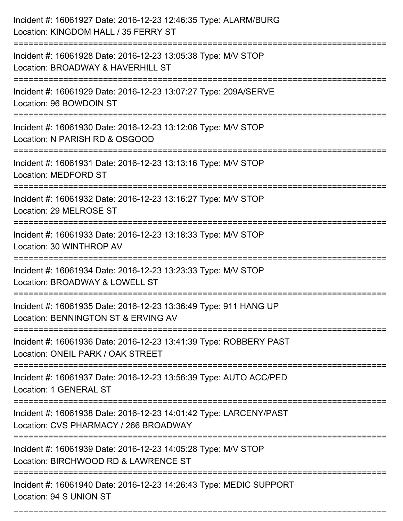| Incident #: 16061927 Date: 2016-12-23 12:46:35 Type: ALARM/BURG<br>Location: KINGDOM HALL / 35 FERRY ST                             |
|-------------------------------------------------------------------------------------------------------------------------------------|
| Incident #: 16061928 Date: 2016-12-23 13:05:38 Type: M/V STOP<br>Location: BROADWAY & HAVERHILL ST                                  |
| Incident #: 16061929 Date: 2016-12-23 13:07:27 Type: 209A/SERVE<br>Location: 96 BOWDOIN ST                                          |
| Incident #: 16061930 Date: 2016-12-23 13:12:06 Type: M/V STOP<br>Location: N PARISH RD & OSGOOD                                     |
| Incident #: 16061931 Date: 2016-12-23 13:13:16 Type: M/V STOP<br><b>Location: MEDFORD ST</b>                                        |
| Incident #: 16061932 Date: 2016-12-23 13:16:27 Type: M/V STOP<br>Location: 29 MELROSE ST                                            |
| Incident #: 16061933 Date: 2016-12-23 13:18:33 Type: M/V STOP<br>Location: 30 WINTHROP AV                                           |
| Incident #: 16061934 Date: 2016-12-23 13:23:33 Type: M/V STOP<br>Location: BROADWAY & LOWELL ST                                     |
| Incident #: 16061935 Date: 2016-12-23 13:36:49 Type: 911 HANG UP<br>Location: BENNINGTON ST & ERVING AV                             |
| Incident #: 16061936 Date: 2016-12-23 13:41:39 Type: ROBBERY PAST<br>Location: ONEIL PARK / OAK STREET                              |
| Incident #: 16061937 Date: 2016-12-23 13:56:39 Type: AUTO ACC/PED<br>Location: 1 GENERAL ST                                         |
| Incident #: 16061938 Date: 2016-12-23 14:01:42 Type: LARCENY/PAST<br>Location: CVS PHARMACY / 266 BROADWAY<br>===================== |
| Incident #: 16061939 Date: 2016-12-23 14:05:28 Type: M/V STOP<br>Location: BIRCHWOOD RD & LAWRENCE ST                               |
| Incident #: 16061940 Date: 2016-12-23 14:26:43 Type: MEDIC SUPPORT<br>Location: 94 S UNION ST                                       |

===========================================================================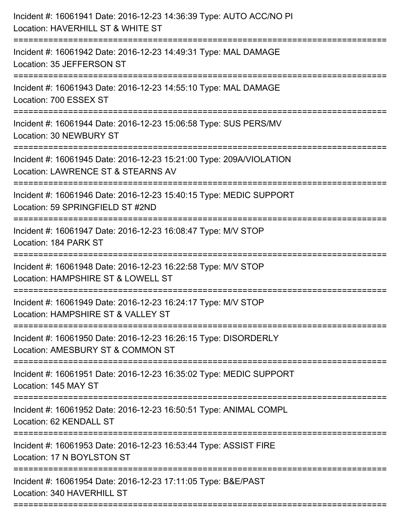| Incident #: 16061941 Date: 2016-12-23 14:36:39 Type: AUTO ACC/NO PI<br>Location: HAVERHILL ST & WHITE ST                         |
|----------------------------------------------------------------------------------------------------------------------------------|
| Incident #: 16061942 Date: 2016-12-23 14:49:31 Type: MAL DAMAGE<br>Location: 35 JEFFERSON ST                                     |
| Incident #: 16061943 Date: 2016-12-23 14:55:10 Type: MAL DAMAGE<br>Location: 700 ESSEX ST                                        |
| Incident #: 16061944 Date: 2016-12-23 15:06:58 Type: SUS PERS/MV<br>Location: 30 NEWBURY ST                                      |
| Incident #: 16061945 Date: 2016-12-23 15:21:00 Type: 209A/VIOLATION<br>Location: LAWRENCE ST & STEARNS AV                        |
| Incident #: 16061946 Date: 2016-12-23 15:40:15 Type: MEDIC SUPPORT<br>Location: 59 SPRINGFIELD ST #2ND<br>====================== |
| Incident #: 16061947 Date: 2016-12-23 16:08:47 Type: M/V STOP<br>Location: 184 PARK ST<br>:==============================        |
| Incident #: 16061948 Date: 2016-12-23 16:22:58 Type: M/V STOP<br>Location: HAMPSHIRE ST & LOWELL ST                              |
| Incident #: 16061949 Date: 2016-12-23 16:24:17 Type: M/V STOP<br>Location: HAMPSHIRE ST & VALLEY ST                              |
| Incident #: 16061950 Date: 2016-12-23 16:26:15 Type: DISORDERLY<br>Location: AMESBURY ST & COMMON ST                             |
| Incident #: 16061951 Date: 2016-12-23 16:35:02 Type: MEDIC SUPPORT<br>Location: 145 MAY ST                                       |
| Incident #: 16061952 Date: 2016-12-23 16:50:51 Type: ANIMAL COMPL<br>Location: 62 KENDALL ST                                     |
| Incident #: 16061953 Date: 2016-12-23 16:53:44 Type: ASSIST FIRE<br>Location: 17 N BOYLSTON ST                                   |
| Incident #: 16061954 Date: 2016-12-23 17:11:05 Type: B&E/PAST<br>Location: 340 HAVERHILL ST                                      |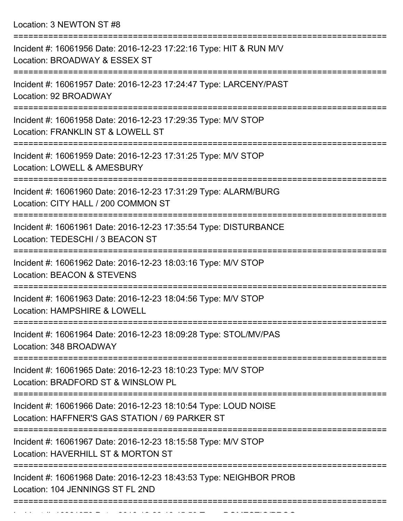Location: 3 NEWTON ST #8

| Incident #: 16061956 Date: 2016-12-23 17:22:16 Type: HIT & RUN M/V<br>Location: BROADWAY & ESSEX ST               |
|-------------------------------------------------------------------------------------------------------------------|
| Incident #: 16061957 Date: 2016-12-23 17:24:47 Type: LARCENY/PAST<br>Location: 92 BROADWAY                        |
| Incident #: 16061958 Date: 2016-12-23 17:29:35 Type: M/V STOP<br>Location: FRANKLIN ST & LOWELL ST                |
| Incident #: 16061959 Date: 2016-12-23 17:31:25 Type: M/V STOP<br>Location: LOWELL & AMESBURY                      |
| Incident #: 16061960 Date: 2016-12-23 17:31:29 Type: ALARM/BURG<br>Location: CITY HALL / 200 COMMON ST            |
| Incident #: 16061961 Date: 2016-12-23 17:35:54 Type: DISTURBANCE<br>Location: TEDESCHI / 3 BEACON ST              |
| Incident #: 16061962 Date: 2016-12-23 18:03:16 Type: M/V STOP<br><b>Location: BEACON &amp; STEVENS</b>            |
| Incident #: 16061963 Date: 2016-12-23 18:04:56 Type: M/V STOP<br>Location: HAMPSHIRE & LOWELL                     |
| Incident #: 16061964 Date: 2016-12-23 18:09:28 Type: STOL/MV/PAS<br>Location: 348 BROADWAY                        |
| Incident #: 16061965 Date: 2016-12-23 18:10:23 Type: M/V STOP<br>Location: BRADFORD ST & WINSLOW PL               |
| Incident #: 16061966 Date: 2016-12-23 18:10:54 Type: LOUD NOISE<br>Location: HAFFNER'S GAS STATION / 69 PARKER ST |
| Incident #: 16061967 Date: 2016-12-23 18:15:58 Type: M/V STOP<br>Location: HAVERHILL ST & MORTON ST               |
| Incident #: 16061968 Date: 2016-12-23 18:43:53 Type: NEIGHBOR PROB<br>Location: 104 JENNINGS ST FL 2ND            |
|                                                                                                                   |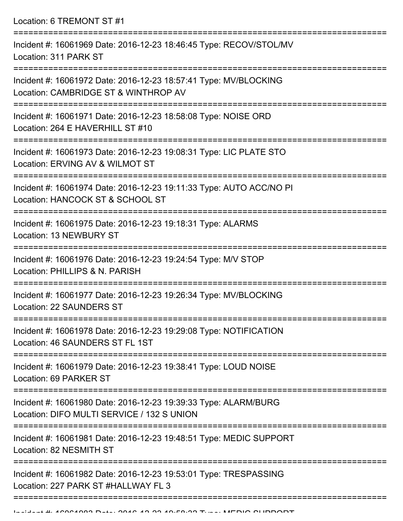Location: 6 TREMONT ST #1

| Incident #: 16061969 Date: 2016-12-23 18:46:45 Type: RECOV/STOL/MV<br>Location: 311 PARK ST                   |
|---------------------------------------------------------------------------------------------------------------|
| Incident #: 16061972 Date: 2016-12-23 18:57:41 Type: MV/BLOCKING<br>Location: CAMBRIDGE ST & WINTHROP AV      |
| Incident #: 16061971 Date: 2016-12-23 18:58:08 Type: NOISE ORD<br>Location: 264 E HAVERHILL ST #10            |
| Incident #: 16061973 Date: 2016-12-23 19:08:31 Type: LIC PLATE STO<br>Location: ERVING AV & WILMOT ST         |
| Incident #: 16061974 Date: 2016-12-23 19:11:33 Type: AUTO ACC/NO PI<br>Location: HANCOCK ST & SCHOOL ST       |
| Incident #: 16061975 Date: 2016-12-23 19:18:31 Type: ALARMS<br>Location: 13 NEWBURY ST                        |
| Incident #: 16061976 Date: 2016-12-23 19:24:54 Type: M/V STOP<br>Location: PHILLIPS & N. PARISH               |
| Incident #: 16061977 Date: 2016-12-23 19:26:34 Type: MV/BLOCKING<br>Location: 22 SAUNDERS ST                  |
| Incident #: 16061978 Date: 2016-12-23 19:29:08 Type: NOTIFICATION<br>Location: 46 SAUNDERS ST FL 1ST          |
| Incident #: 16061979 Date: 2016-12-23 19:38:41 Type: LOUD NOISE<br>Location: 69 PARKER ST                     |
| Incident #: 16061980 Date: 2016-12-23 19:39:33 Type: ALARM/BURG<br>Location: DIFO MULTI SERVICE / 132 S UNION |
| Incident #: 16061981 Date: 2016-12-23 19:48:51 Type: MEDIC SUPPORT<br>Location: 82 NESMITH ST                 |
| Incident #: 16061982 Date: 2016-12-23 19:53:01 Type: TRESPASSING<br>Location: 227 PARK ST #HALLWAY FL 3       |
|                                                                                                               |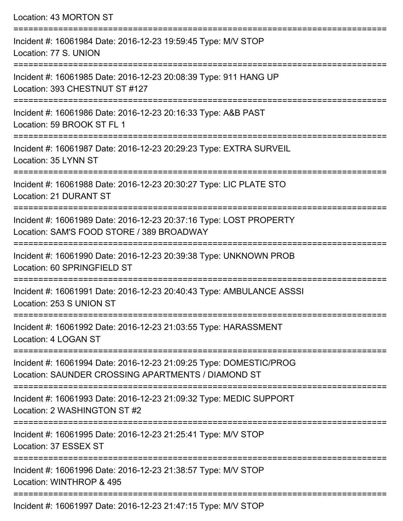| Location: 43 MORTON ST                                                                                                        |
|-------------------------------------------------------------------------------------------------------------------------------|
| Incident #: 16061984 Date: 2016-12-23 19:59:45 Type: M/V STOP<br>Location: 77 S. UNION                                        |
| Incident #: 16061985 Date: 2016-12-23 20:08:39 Type: 911 HANG UP<br>Location: 393 CHESTNUT ST #127                            |
| Incident #: 16061986 Date: 2016-12-23 20:16:33 Type: A&B PAST<br>Location: 59 BROOK ST FL 1                                   |
| Incident #: 16061987 Date: 2016-12-23 20:29:23 Type: EXTRA SURVEIL<br>Location: 35 LYNN ST                                    |
| Incident #: 16061988 Date: 2016-12-23 20:30:27 Type: LIC PLATE STO<br><b>Location: 21 DURANT ST</b>                           |
| Incident #: 16061989 Date: 2016-12-23 20:37:16 Type: LOST PROPERTY<br>Location: SAM'S FOOD STORE / 389 BROADWAY               |
| =========================<br>Incident #: 16061990 Date: 2016-12-23 20:39:38 Type: UNKNOWN PROB<br>Location: 60 SPRINGFIELD ST |
| Incident #: 16061991 Date: 2016-12-23 20:40:43 Type: AMBULANCE ASSSI<br>Location: 253 S UNION ST                              |
| Incident #: 16061992 Date: 2016-12-23 21:03:55 Type: HARASSMENT<br>Location: 4 LOGAN ST                                       |
| Incident #: 16061994 Date: 2016-12-23 21:09:25 Type: DOMESTIC/PROG<br>Location: SAUNDER CROSSING APARTMENTS / DIAMOND ST      |
| Incident #: 16061993 Date: 2016-12-23 21:09:32 Type: MEDIC SUPPORT<br>Location: 2 WASHINGTON ST #2                            |
| Incident #: 16061995 Date: 2016-12-23 21:25:41 Type: M/V STOP<br>Location: 37 ESSEX ST                                        |
| Incident #: 16061996 Date: 2016-12-23 21:38:57 Type: M/V STOP<br>Location: WINTHROP & 495                                     |

Incident #: 16061997 Date: 2016-12-23 21:47:15 Type: M/V STOP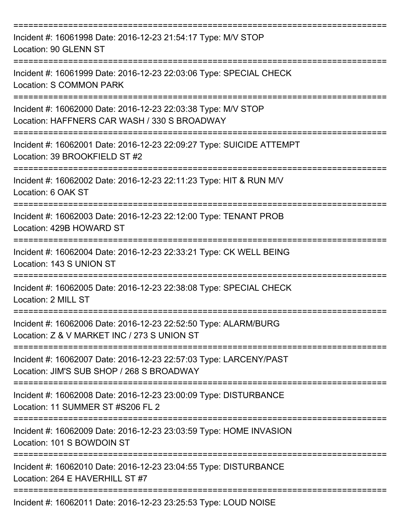| Incident #: 16061998 Date: 2016-12-23 21:54:17 Type: M/V STOP<br>Location: 90 GLENN ST                         |
|----------------------------------------------------------------------------------------------------------------|
| Incident #: 16061999 Date: 2016-12-23 22:03:06 Type: SPECIAL CHECK<br>Location: S COMMON PARK                  |
| Incident #: 16062000 Date: 2016-12-23 22:03:38 Type: M/V STOP<br>Location: HAFFNERS CAR WASH / 330 S BROADWAY  |
| Incident #: 16062001 Date: 2016-12-23 22:09:27 Type: SUICIDE ATTEMPT<br>Location: 39 BROOKFIELD ST #2          |
| Incident #: 16062002 Date: 2016-12-23 22:11:23 Type: HIT & RUN M/V<br>Location: 6 OAK ST                       |
| Incident #: 16062003 Date: 2016-12-23 22:12:00 Type: TENANT PROB<br>Location: 429B HOWARD ST                   |
| Incident #: 16062004 Date: 2016-12-23 22:33:21 Type: CK WELL BEING<br>Location: 143 S UNION ST                 |
| Incident #: 16062005 Date: 2016-12-23 22:38:08 Type: SPECIAL CHECK<br>Location: 2 MILL ST                      |
| Incident #: 16062006 Date: 2016-12-23 22:52:50 Type: ALARM/BURG<br>Location: Z & V MARKET INC / 273 S UNION ST |
| Incident #: 16062007 Date: 2016-12-23 22:57:03 Type: LARCENY/PAST<br>Location: JIM'S SUB SHOP / 268 S BROADWAY |
| Incident #: 16062008 Date: 2016-12-23 23:00:09 Type: DISTURBANCE<br>Location: 11 SUMMER ST #S206 FL 2          |
| Incident #: 16062009 Date: 2016-12-23 23:03:59 Type: HOME INVASION<br>Location: 101 S BOWDOIN ST               |
| Incident #: 16062010 Date: 2016-12-23 23:04:55 Type: DISTURBANCE<br>Location: 264 E HAVERHILL ST #7            |
| Incident #: 16062011 Date: 2016-12-23 23:25:53 Type: LOUD NOISE                                                |